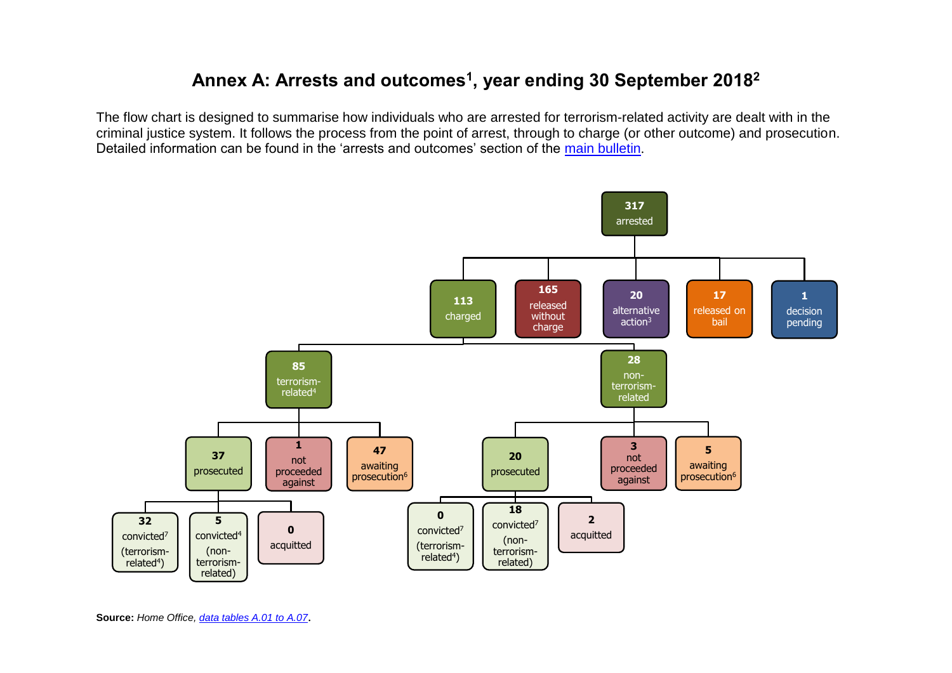## **Annex A: Arrests and outcomes<sup>1</sup> , year ending 30 September 2018 2**

The flow chart is designed to summarise how individuals who are arrested for terrorism-related activity are dealt with in the criminal justice system. It follows the process from the point of arrest, through to charge (or other outcome) and prosecution. Detailed information can be found in the 'arrests and outcomes' section of the [main bulletin](https://www.gov.uk/government/statistics/operation-of-police-powers-under-the-terrorism-act-2000-quarterly-update-to-september-2018).